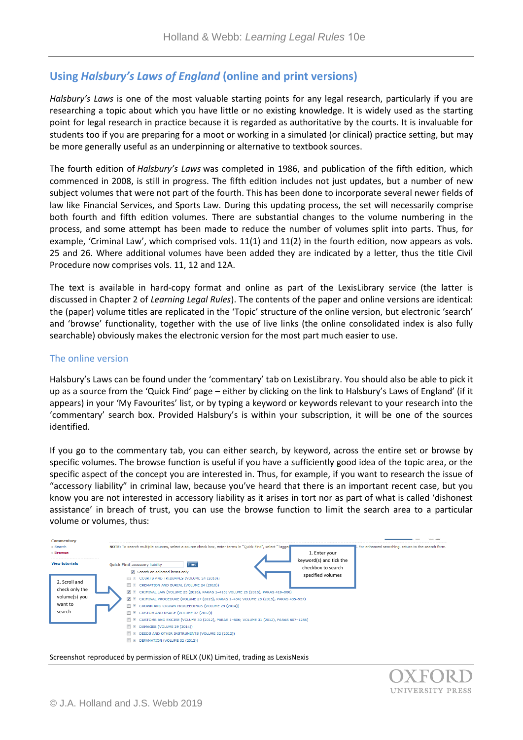## **Using** *Halsbury's Laws of England* **(online and print versions)**

*Halsbury's Laws* is one of the most valuable starting points for any legal research, particularly if you are researching a topic about which you have little or no existing knowledge. It is widely used as the starting point for legal research in practice because it is regarded as authoritative by the courts. It is invaluable for students too if you are preparing for a moot or working in a simulated (or clinical) practice setting, but may be more generally useful as an underpinning or alternative to textbook sources.

The fourth edition of *Halsbury's Laws* was completed in 1986, and publication of the fifth edition, which commenced in 2008, is still in progress. The fifth edition includes not just updates, but a number of new subject volumes that were not part of the fourth. This has been done to incorporate several newer fields of law like Financial Services, and Sports Law. During this updating process, the set will necessarily comprise both fourth and fifth edition volumes. There are substantial changes to the volume numbering in the process, and some attempt has been made to reduce the number of volumes split into parts. Thus, for example, 'Criminal Law', which comprised vols. 11(1) and 11(2) in the fourth edition, now appears as vols. 25 and 26. Where additional volumes have been added they are indicated by a letter, thus the title Civil Procedure now comprises vols. 11, 12 and 12A.

The text is available in hard-copy format and online as part of the LexisLibrary service (the latter is discussed in Chapter 2 of *Learning Legal Rules*). The contents of the paper and online versions are identical: the (paper) volume titles are replicated in the 'Topic' structure of the online version, but electronic 'search' and 'browse' functionality, together with the use of live links (the online consolidated index is also fully searchable) obviously makes the electronic version for the most part much easier to use.

## The online version

Halsbury's Laws can be found under the 'commentary' tab on LexisLibrary. You should also be able to pick it up as a source from the 'Quick Find' page – either by clicking on the link to Halsbury's Laws of England' (if it appears) in your 'My Favourites' list, or by typing a keyword or keywords relevant to your research into the 'commentary' search box. Provided Halsbury's is within your subscription, it will be one of the sources identified.

If you go to the commentary tab, you can either search, by keyword, across the entire set or browse by specific volumes. The browse function is useful if you have a sufficiently good idea of the topic area, or the specific aspect of the concept you are interested in. Thus, for example, if you want to research the issue of "accessory liability" in criminal law, because you've heard that there is an important recent case, but you know you are not interested in accessory liability as it arises in tort nor as part of what is called 'dishonest assistance' in breach of trust, you can use the browse function to limit the search area to a particular volume or volumes, thus:

| Commentary<br>» Search                                                | NOTE: To search multiple sources, select a source check box, enter terms in "Quick Find", select "Tagged                                                                                                                                                                                                                                                                                                                                                                                                                                                                                                                                                     | For enhanced searching, return to the search form. |
|-----------------------------------------------------------------------|--------------------------------------------------------------------------------------------------------------------------------------------------------------------------------------------------------------------------------------------------------------------------------------------------------------------------------------------------------------------------------------------------------------------------------------------------------------------------------------------------------------------------------------------------------------------------------------------------------------------------------------------------------------|----------------------------------------------------|
| » Browse                                                              | 1. Enter your                                                                                                                                                                                                                                                                                                                                                                                                                                                                                                                                                                                                                                                |                                                    |
| <b>View tutorials</b>                                                 | keyword(s) and tick the<br>Find<br><b>Quick Find accessory liability</b><br>checkbox to search<br>Search on selected items only                                                                                                                                                                                                                                                                                                                                                                                                                                                                                                                              |                                                    |
| 2. Scroll and<br>check only the<br>volume(s) you<br>want to<br>search | specified volumes<br>COURTS AND TRIBUNALS (VOLUME 24 (2010))<br>CREMATION AND BURIAL (VOLUME 24 (2010))<br>$\blacksquare$<br>V E CRIMINAL LAW (VOLUME 25 (2016), PARAS 1-418; VOLUME 26 (2016), PARAS 419-860)<br>T E CRIMINAL PROCEDURE (VOLUME 27 (2015), PARAS 1-434; VOLUME 28 (2015), PARAS 435-957)<br>E CROWN AND CROWN PROCEEDINGS (VOLUME 29 (2014))<br>E CUSTOM AND USAGE (VOLUME 32 (2012))<br>CUSTOMS AND EXCISE (VOLUME 30 (2012), PARAS 1-606; VOLUME 31 (2012), PARAS 607-1256)<br>$+$<br>DAMAGES (VOLUME 29 (2014))<br>$\Box$<br>DEEDS AND OTHER INSTRUMENTS (VOLUME 32 (2012))<br>$\blacksquare$<br>DEFAMATION (VOLUME 32 (2012))<br>$\Box$ |                                                    |

Screenshot reproduced by permission of RELX (UK) Limited, trading as LexisNexis

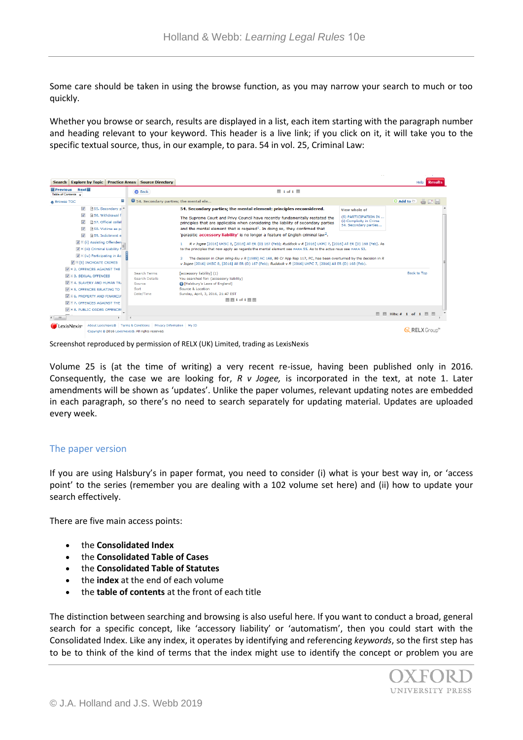Some care should be taken in using the browse function, as you may narrow your search to much or too quickly.

Whether you browse or search, results are displayed in a list, each item starting with the paragraph number and heading relevant to your keyword. This header is a live link; if you click on it, it will take you to the specific textual source, thus, in our example, to para. 54 in vol. 25, Criminal Law:

| <b>Search Explore by Topic</b><br><b>Practice Areas</b>                                                                                                                                                                                                                                                                                                                                                                                                                                                      | <b>Source Directory</b>                                                                                                    |                                                                                                                                                                                                                                                                                                                                                                                                                                                                                                                                                                                                                                                                                                                                                                                                                                                                                                               |                                                                                           | <b>Results</b><br>Help |
|--------------------------------------------------------------------------------------------------------------------------------------------------------------------------------------------------------------------------------------------------------------------------------------------------------------------------------------------------------------------------------------------------------------------------------------------------------------------------------------------------------------|----------------------------------------------------------------------------------------------------------------------------|---------------------------------------------------------------------------------------------------------------------------------------------------------------------------------------------------------------------------------------------------------------------------------------------------------------------------------------------------------------------------------------------------------------------------------------------------------------------------------------------------------------------------------------------------------------------------------------------------------------------------------------------------------------------------------------------------------------------------------------------------------------------------------------------------------------------------------------------------------------------------------------------------------------|-------------------------------------------------------------------------------------------|------------------------|
| Next 2<br><b>E</b> Previous<br>Table of Contents                                                                                                                                                                                                                                                                                                                                                                                                                                                             | <b>Back</b>                                                                                                                | $1$ of 1                                                                                                                                                                                                                                                                                                                                                                                                                                                                                                                                                                                                                                                                                                                                                                                                                                                                                                      |                                                                                           |                        |
| $\mathbf{x}$<br><b>&amp; Browse TOC</b>                                                                                                                                                                                                                                                                                                                                                                                                                                                                      | 0 54. Secondary parties; the mental ele                                                                                    |                                                                                                                                                                                                                                                                                                                                                                                                                                                                                                                                                                                                                                                                                                                                                                                                                                                                                                               |                                                                                           | C Add to C             |
| $\overline{\mathsf{v}}$<br><b>at 55.</b> Secondary p <sup>▲</sup><br>$\overline{\mathsf{v}}$<br>图 56. Withdrawal f<br>$\overline{v}$<br>a 57, Official collal<br>$\overline{\mathsf{v}}$<br>158. Victims as pi<br>$\overline{\mathsf{v}}$<br><b>■ 59. Indictment e</b><br>$\forall$ $\in$ (ii) Assisting Offender.<br>$\overline{\mathsf{w}}$ E (iii) Criminal Liability f-<br>$\forall$ E (iv) Participating in Ac<br>$\sqrt{ }$ $\equiv$ (6) INCHOATE CRIMES<br><b>V</b> $\bullet$ 2, OFFENCES AGAINST THE |                                                                                                                            | 54. Secondary parties; the mental element: principles reconsidered.<br>The Supreme Court and Privy Council have recently fundamentally restated the<br>principles that are applicable when considering the liability of secondary parties<br>and the mental element that is required <sup>1</sup> . In doing so, they confirmed that<br>'parasitic accessory liability' is no longer a feature of English criminal law <sup>2</sup> .<br>R v Jogee [2016] UKSC 8, [2016] All ER (D) 167 (Feb); Ruddock v R [2016] UKPC 7, [2016] All ER (D) 168 (Feb). As<br>to the principles that now apply as regards the mental element see PARA 55. As to the actus reus see PARA 53.<br>The decision in Chan Wing-Siu v R [1985] AC 168, 80 Cr App Rep 117, PC, has been overturned by the decision in R<br>v Jogee [2016] UKSC 8, [2016] All ER (D) 167 (Feb); Ruddock v R [2016] UKPC 7, [2016] All ER (D) 168 (Feb). | View whole of<br>(5) PARTICIPATION IN<br>(i) Complicity in Crime<br>54. Secondary parties |                        |
| $V + 3$ , SEXUAL OFFENCES<br>$\triangledown$ $\pm$ 4. SLAVERY AND HUMAN TR.<br>$\nabla$ = 5. OFFENCES RELATING TO<br>$\sqrt{2}$ = 6. PROPERTY AND FINANCIA<br><b>V</b> E 7. OFFENCES AGAINST THE<br><b>VE 8. PUBLIC ORDER OFFENCES</b>                                                                                                                                                                                                                                                                       | <b>Search Terms</b><br>Search Details<br>Source<br>Sort<br>Date/Time                                                       | [accessory liability] (1)<br>You searched for: (accessory liability)<br><b>B</b> [Halsbury's Laws of England]<br>Source & Location<br>Sunday, April, 3, 2016, 21:47 EST<br><b>图图1of1</b> 图图                                                                                                                                                                                                                                                                                                                                                                                                                                                                                                                                                                                                                                                                                                                   |                                                                                           | Back to Top            |
| $\leftarrow$ $\leftarrow$ $\leftarrow$ $\leftarrow$                                                                                                                                                                                                                                                                                                                                                                                                                                                          |                                                                                                                            |                                                                                                                                                                                                                                                                                                                                                                                                                                                                                                                                                                                                                                                                                                                                                                                                                                                                                                               |                                                                                           | 图 图 Hits: # 1 of 1 図 図 |
| <i>LexisNexis<sup>*</sup></i>                                                                                                                                                                                                                                                                                                                                                                                                                                                                                | About LexisNexis®   Terms & Conditions   Privacy Information   My ID<br>Copyright @ 2016 LexisNexis®, All rights reserved. |                                                                                                                                                                                                                                                                                                                                                                                                                                                                                                                                                                                                                                                                                                                                                                                                                                                                                                               |                                                                                           | <b>RELX</b> Group"     |

Screenshot reproduced by permission of RELX (UK) Limited, trading as LexisNexis

Volume 25 is (at the time of writing) a very recent re-issue, having been published only in 2016. Consequently, the case we are looking for, *R v Jogee,* is incorporated in the text, at note 1. Later amendments will be shown as 'updates'. Unlike the paper volumes, relevant updating notes are embedded in each paragraph, so there's no need to search separately for updating material. Updates are uploaded every week.

## The paper version

If you are using Halsbury's in paper format, you need to consider (i) what is your best way in, or 'access point' to the series (remember you are dealing with a 102 volume set here) and (ii) how to update your search effectively.

There are five main access points:

- the **Consolidated Index**
- the **Consolidated Table of Cases**
- the **Consolidated Table of Statutes**
- the **index** at the end of each volume
- the **table of contents** at the front of each title

The distinction between searching and browsing is also useful here. If you want to conduct a broad, general search for a specific concept, like 'accessory liability' or 'automatism', then you could start with the Consolidated Index. Like any index, it operates by identifying and referencing *keywords*, so the first step has to be to think of the kind of terms that the index might use to identify the concept or problem you are

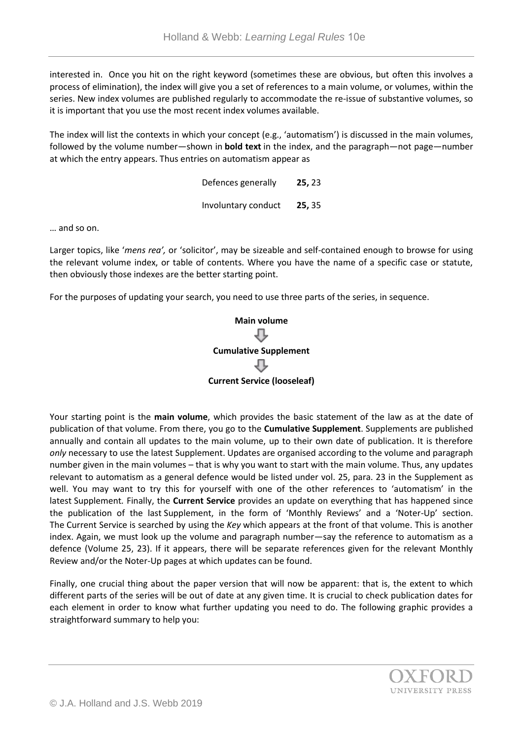interested in. Once you hit on the right keyword (sometimes these are obvious, but often this involves a process of elimination), the index will give you a set of references to a main volume, or volumes, within the series. New index volumes are published regularly to accommodate the re-issue of substantive volumes, so it is important that you use the most recent index volumes available.

The index will list the contexts in which your concept (e.g., 'automatism') is discussed in the main volumes, followed by the volume number—shown in **bold text** in the index, and the paragraph—not page—number at which the entry appears. Thus entries on automatism appear as

| Defences generally  | 25, 23 |
|---------------------|--------|
| Involuntary conduct | 25, 35 |

… and so on.

Larger topics, like '*mens rea',* or 'solicitor', may be sizeable and self-contained enough to browse for using the relevant volume index, or table of contents. Where you have the name of a specific case or statute, then obviously those indexes are the better starting point.

For the purposes of updating your search, you need to use three parts of the series, in sequence.



Your starting point is the **main volume**, which provides the basic statement of the law as at the date of publication of that volume. From there, you go to the **Cumulative Supplement**. Supplements are published annually and contain all updates to the main volume, up to their own date of publication. It is therefore *only* necessary to use the latest Supplement. Updates are organised according to the volume and paragraph number given in the main volumes – that is why you want to start with the main volume. Thus, any updates relevant to automatism as a general defence would be listed under vol. 25, para. 23 in the Supplement as well. You may want to try this for yourself with one of the other references to 'automatism' in the latest Supplement*.* Finally, the **Current Service** provides an update on everything that has happened since the publication of the last Supplement, in the form of 'Monthly Reviews' and a 'Noter-Up' section. The Current Service is searched by using the *Key* which appears at the front of that volume. This is another index. Again, we must look up the volume and paragraph number—say the reference to automatism as a defence (Volume 25, 23). If it appears, there will be separate references given for the relevant Monthly Review and/or the Noter-Up pages at which updates can be found.

Finally, one crucial thing about the paper version that will now be apparent: that is, the extent to which different parts of the series will be out of date at any given time. It is crucial to check publication dates for each element in order to know what further updating you need to do. The following graphic provides a straightforward summary to help you: